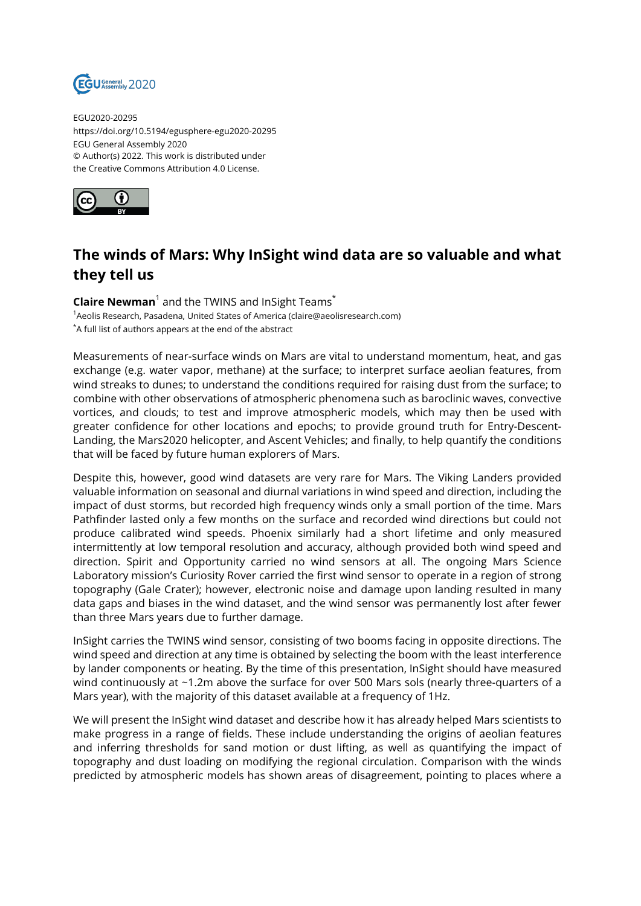

EGU2020-20295 https://doi.org/10.5194/egusphere-egu2020-20295 EGU General Assembly 2020 © Author(s) 2022. This work is distributed under the Creative Commons Attribution 4.0 License.



## **The winds of Mars: Why InSight wind data are so valuable and what they tell us**

**Claire Newman**<sup>1</sup> and the TWINS and InSight Teams\* <sup>1</sup> Aeolis Research, Pasadena, United States of America (claire@aeolisresearch.com) \*A full list of authors appears at the end of the abstract

Measurements of near-surface winds on Mars are vital to understand momentum, heat, and gas exchange (e.g. water vapor, methane) at the surface; to interpret surface aeolian features, from wind streaks to dunes; to understand the conditions required for raising dust from the surface; to combine with other observations of atmospheric phenomena such as baroclinic waves, convective vortices, and clouds; to test and improve atmospheric models, which may then be used with greater confidence for other locations and epochs; to provide ground truth for Entry-Descent-Landing, the Mars2020 helicopter, and Ascent Vehicles; and finally, to help quantify the conditions that will be faced by future human explorers of Mars.

Despite this, however, good wind datasets are very rare for Mars. The Viking Landers provided valuable information on seasonal and diurnal variations in wind speed and direction, including the impact of dust storms, but recorded high frequency winds only a small portion of the time. Mars Pathfinder lasted only a few months on the surface and recorded wind directions but could not produce calibrated wind speeds. Phoenix similarly had a short lifetime and only measured intermittently at low temporal resolution and accuracy, although provided both wind speed and direction. Spirit and Opportunity carried no wind sensors at all. The ongoing Mars Science Laboratory mission's Curiosity Rover carried the first wind sensor to operate in a region of strong topography (Gale Crater); however, electronic noise and damage upon landing resulted in many data gaps and biases in the wind dataset, and the wind sensor was permanently lost after fewer than three Mars years due to further damage.

InSight carries the TWINS wind sensor, consisting of two booms facing in opposite directions. The wind speed and direction at any time is obtained by selecting the boom with the least interference by lander components or heating. By the time of this presentation, InSight should have measured wind continuously at ~1.2m above the surface for over 500 Mars sols (nearly three-quarters of a Mars year), with the majority of this dataset available at a frequency of 1Hz.

We will present the InSight wind dataset and describe how it has already helped Mars scientists to make progress in a range of fields. These include understanding the origins of aeolian features and inferring thresholds for sand motion or dust lifting, as well as quantifying the impact of topography and dust loading on modifying the regional circulation. Comparison with the winds predicted by atmospheric models has shown areas of disagreement, pointing to places where a